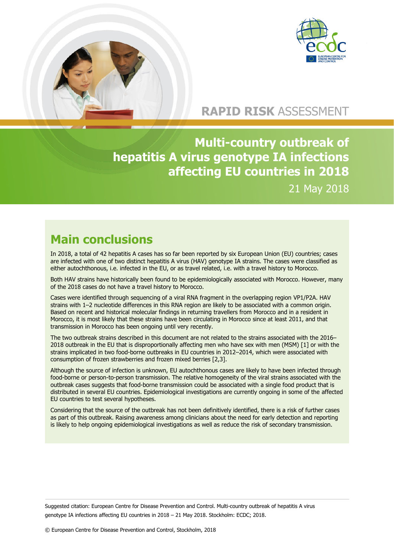



## **RAPID RISK** ASSESSMENT

**Multi-country outbreak of hepatitis A virus genotype IA infections affecting EU countries in 2018** 21 May 2018

## **Main conclusions**

In 2018, a total of 42 hepatitis A cases has so far been reported by six European Union (EU) countries; cases are infected with one of two distinct hepatitis A virus (HAV) genotype IA strains. The cases were classified as either autochthonous, i.e. infected in the EU, or as travel related, i.e. with a travel history to Morocco.

Both HAV strains have historically been found to be epidemiologically associated with Morocco. However, many of the 2018 cases do not have a travel history to Morocco.

Cases were identified through sequencing of a viral RNA fragment in the overlapping region VP1/P2A. HAV strains with 1–2 nucleotide differences in this RNA region are likely to be associated with a common origin. Based on recent and historical molecular findings in returning travellers from Morocco and in a resident in Morocco, it is most likely that these strains have been circulating in Morocco since at least 2011, and that transmission in Morocco has been ongoing until very recently.

The two outbreak strains described in this document are not related to the strains associated with the 2016– 2018 outbreak in the EU that is disproportionally affecting men who have sex with men (MSM) [1] or with the strains implicated in two food-borne outbreaks in EU countries in 2012–2014, which were associated with consumption of frozen strawberries and frozen mixed berries [2,3].

Although the source of infection is unknown, EU autochthonous cases are likely to have been infected through food-borne or person-to-person transmission. The relative homogeneity of the viral strains associated with the outbreak cases suggests that food-borne transmission could be associated with a single food product that is distributed in several EU countries. Epidemiological investigations are currently ongoing in some of the affected EU countries to test several hypotheses.

Considering that the source of the outbreak has not been definitively identified, there is a risk of further cases as part of this outbreak. Raising awareness among clinicians about the need for early detection and reporting is likely to help ongoing epidemiological investigations as well as reduce the risk of secondary transmission.

Suggested citation: European Centre for Disease Prevention and Control. Multi-country outbreak of hepatitis A virus genotype IA infections affecting EU countries in 2018 – 21 May 2018. Stockholm: ECDC; 2018.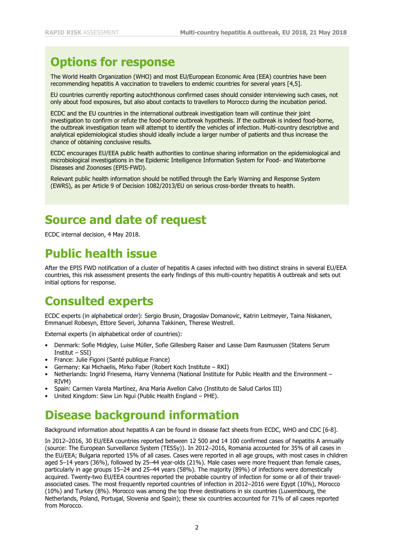## **Options for response**

The World Health Organization (WHO) and most EU/European Economic Area (EEA) countries have been recommending hepatitis A vaccination to travellers to endemic countries for several years [4,5].

EU countries currently reporting autochthonous confirmed cases should consider interviewing such cases, not only about food exposures, but also about contacts to travellers to Morocco during the incubation period.

ECDC and the EU countries in the international outbreak investigation team will continue their joint investigation to confirm or refute the food-borne outbreak hypothesis. If the outbreak is indeed food-borne, the outbreak investigation team will attempt to identify the vehicles of infection. Multi-country descriptive and analytical epidemiological studies should ideally include a larger number of patients and thus increase the chance of obtaining conclusive results.

ECDC encourages EU/EEA public health authorities to continue sharing information on the epidemiological and microbiological investigations in the Epidemic Intelligence Information System for Food- and Waterborne Diseases and Zoonoses (EPIS-FWD).

Relevant public health information should be notified through the Early Warning and Response System (EWRS), as per Article 9 of Decision 1082/2013/EU on serious cross-border threats to health.

## **Source and date of request**

ECDC internal decision, 4 May 2018.

## **Public health issue**

After the EPIS FWD notification of a cluster of hepatitis A cases infected with two distinct strains in several EU/EEA countries, this risk assessment presents the early findings of this multi-country hepatitis A outbreak and sets out initial options for response.

## **Consulted experts**

ECDC experts (in alphabetical order): Sergio Brusin, Dragoslav Domanovic, Katrin Leitmeyer, Taina Niskanen, Emmanuel Robesyn, Ettore Severi, Johanna Takkinen, Therese Westrell.

External experts (in alphabetical order of countries):

- Denmark: Sofie Midgley, Luise Müller, Sofie Gillesberg Raiser and Lasse Dam Rasmussen (Statens Serum Institut – SSI)
- France: Julie Figoni (Santé publique France)
- Germany: Kai Michaelis, Mirko Faber (Robert Koch Institute RKI)
- Netherlands: Ingrid Friesema, Harry Vennema (National Institute for Public Health and the Environment RIVM)
- Spain: Carmen Varela Martínez, Ana Maria Avellon Calvo (Instituto de Salud Carlos III)
- United Kingdom: Siew Lin Ngui (Public Health England PHE).

## **Disease background information**

Background information about hepatitis A can be found in disease fact sheets from ECDC, WHO and CDC [6-8].

In 2012–2016, 30 EU/EEA countries reported between 12 500 and 14 100 confirmed cases of hepatitis A annually (source: The European Surveillance System (TESSy)). In 2012–2016, Romania accounted for 35% of all cases in the EU/EEA; Bulgaria reported 15% of all cases. Cases were reported in all age groups, with most cases in children aged 5–14 years (36%), followed by 25–44 year-olds (21%). Male cases were more frequent than female cases, particularly in age groups 15–24 and 25–44 years (58%). The majority (89%) of infections were domestically acquired. Twenty-two EU/EEA countries reported the probable country of infection for some or all of their travelassociated cases. The most frequently reported countries of infection in 2012–2016 were Egypt (10%), Morocco (10%) and Turkey (8%). Morocco was among the top three destinations in six countries (Luxembourg, the Netherlands, Poland, Portugal, Slovenia and Spain); these six countries accounted for 71% of all cases reported from Morocco.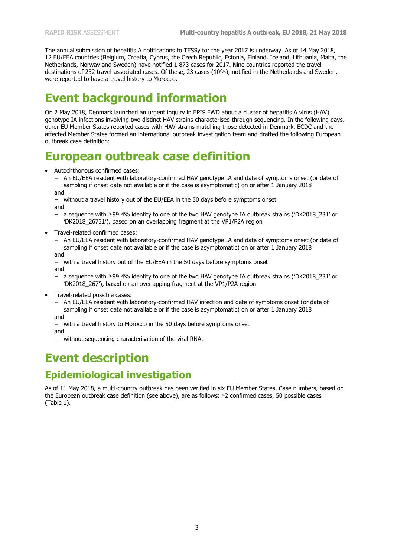The annual submission of hepatitis A notifications to TESSy for the year 2017 is underway. As of 14 May 2018, 12 EU/EEA countries (Belgium, Croatia, Cyprus, the Czech Republic, Estonia, Finland, Iceland, Lithuania, Malta, the Netherlands, Norway and Sweden) have notified 1 873 cases for 2017. Nine countries reported the travel destinations of 232 travel-associated cases. Of these, 23 cases (10%), notified in the Netherlands and Sweden, were reported to have a travel history to Morocco.

## **Event background information**

On 2 May 2018, Denmark launched an urgent inquiry in EPIS FWD about a cluster of hepatitis A virus (HAV) genotype IA infections involving two distinct HAV strains characterised through sequencing. In the following days, other EU Member States reported cases with HAV strains matching those detected in Denmark. ECDC and the affected Member States formed an international outbreak investigation team and drafted the following European outbreak case definition:

## **European outbreak case definition**

- Autochthonous confirmed cases:
	- − An EU/EEA resident with laboratory-confirmed HAV genotype IA and date of symptoms onset (or date of sampling if onset date not available or if the case is asymptomatic) on or after 1 January 2018

and

- without a travel history out of the EU/EEA in the 50 days before symptoms onset and
	- − a sequence with ≥99.4% identity to one of the two HAV genotype IA outbreak strains ('DK2018\_231' or 'DK2018\_26731'), based on an overlapping fragment at the VP1/P2A region
- Travel-related confirmed cases:
	- − An EU/EEA resident with laboratory-confirmed HAV genotype IA and date of symptoms onset (or date of sampling if onset date not available or if the case is asymptomatic) on or after 1 January 2018

and

- − with a travel history out of the EU/EEA in the 50 days before symptoms onset and
- − a sequence with ≥99.4% identity to one of the two HAV genotype IA outbreak strains ('DK2018\_231' or 'DK2018\_267'), based on an overlapping fragment at the VP1/P2A region
- Travel-related possible cases:
	- − An EU/EEA resident with laboratory-confirmed HAV infection and date of symptoms onset (or date of sampling if onset date not available or if the case is asymptomatic) on or after 1 January 2018 and
	- − with a travel history to Morocco in the 50 days before symptoms onset

and

− without sequencing characterisation of the viral RNA.

## **Event description**

### **Epidemiological investigation**

As of 11 May 2018, a multi-country outbreak has been verified in six EU Member States. Case numbers, based on the European outbreak case definition (see above), are as follows: 42 confirmed cases, 50 possible cases (Table 1).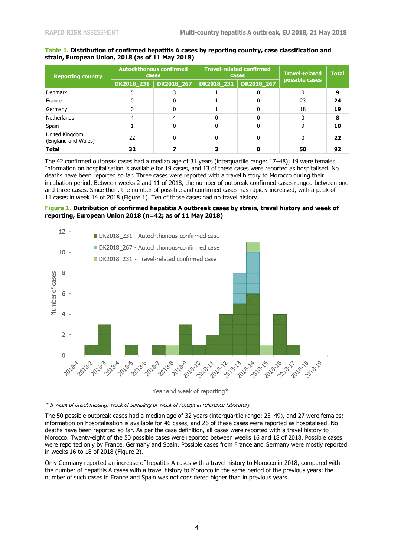#### **Table 1. Distribution of confirmed hepatitis A cases by reporting country, case classification and strain, European Union, 2018 (as of 11 May 2018)**

| <b>Reporting country</b>              | <b>Autochthonous confirmed</b><br>cases |            | <b>Travel-related confirmed</b><br>cases |            | <b>Travel-related</b> | <b>Total</b> |
|---------------------------------------|-----------------------------------------|------------|------------------------------------------|------------|-----------------------|--------------|
|                                       | DK2018_231                              | DK2018 267 | DK2018_231                               | DK2018 267 | possible cases        |              |
| Denmark                               |                                         |            |                                          |            |                       | 9            |
| France                                |                                         |            |                                          |            | 23                    | 24           |
| Germany                               |                                         |            |                                          |            | 18                    | 19           |
| <b>Netherlands</b>                    |                                         |            |                                          |            |                       | 8            |
| Spain                                 |                                         |            |                                          |            |                       | 10           |
| United Kingdom<br>(England and Wales) | 22                                      | 0          |                                          |            |                       | 22           |
| <b>Total</b>                          | 32                                      |            |                                          |            | 50                    | 92           |

The 42 confirmed outbreak cases had a median age of 31 years (interquartile range: 17–48); 19 were females. Information on hospitalisation is available for 19 cases, and 13 of these cases were reported as hospitalised. No deaths have been reported so far. Three cases were reported with a travel history to Morocco during their incubation period. Between weeks 2 and 11 of 2018, the number of outbreak-confirmed cases ranged between one and three cases. Since then, the number of possible and confirmed cases has rapidly increased, with a peak of 11 cases in week 14 of 2018 (Figure 1). Ten of those cases had no travel history.

#### **Figure 1. Distribution of confirmed hepatitis A outbreak cases by strain, travel history and week of reporting, European Union 2018 (n=42; as of 11 May 2018)**



Year and week of reporting\*

\* If week of onset missing: week of sampling or week of receipt in reference laboratory

The 50 possible outbreak cases had a median age of 32 years (interquartile range: 23–49), and 27 were females; information on hospitalisation is available for 46 cases, and 26 of these cases were reported as hospitalised. No deaths have been reported so far. As per the case definition, all cases were reported with a travel history to Morocco. Twenty-eight of the 50 possible cases were reported between weeks 16 and 18 of 2018. Possible cases were reported only by France, Germany and Spain. Possible cases from France and Germany were mostly reported in weeks 16 to 18 of 2018 (Figure 2).

Only Germany reported an increase of hepatitis A cases with a travel history to Morocco in 2018, compared with the number of hepatitis A cases with a travel history to Morocco in the same period of the previous years; the number of such cases in France and Spain was not considered higher than in previous years.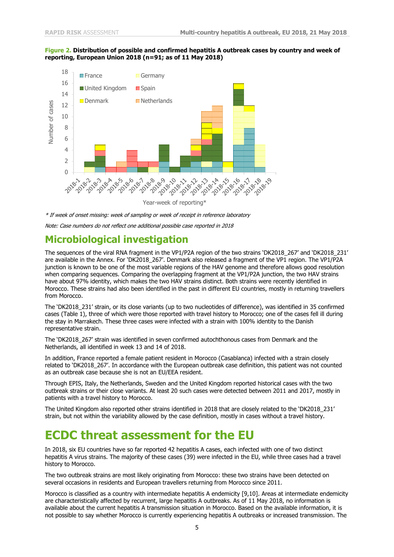#### **Figure 2. Distribution of possible and confirmed hepatitis A outbreak cases by country and week of reporting, European Union 2018 (n=91; as of 11 May 2018)**



<sup>\*</sup> If week of onset missing: week of sampling or week of receipt in reference laboratory

Note: Case numbers do not reflect one additional possible case reported in 2018

### **Microbiological investigation**

The sequences of the viral RNA fragment in the VP1/P2A region of the two strains 'DK2018\_267' and 'DK2018\_231' are available in the Annex. For 'DK2018\_267'. Denmark also released a fragment of the VP1 region. The VP1/P2A junction is known to be one of the most variable regions of the HAV genome and therefore allows good resolution when comparing sequences. Comparing the overlapping fragment at the VP1/P2A junction, the two HAV strains have about 97% identity, which makes the two HAV strains distinct. Both strains were recently identified in Morocco. These strains had also been identified in the past in different EU countries, mostly in returning travellers from Morocco.

The 'DK2018\_231' strain, or its close variants (up to two nucleotides of difference), was identified in 35 confirmed cases (Table 1), three of which were those reported with travel history to Morocco; one of the cases fell ill during the stay in Marrakech. These three cases were infected with a strain with 100% identity to the Danish representative strain.

The 'DK2018\_267' strain was identified in seven confirmed autochthonous cases from Denmark and the Netherlands, all identified in week 13 and 14 of 2018.

In addition, France reported a female patient resident in Morocco (Casablanca) infected with a strain closely related to 'DK2018\_267'. In accordance with the European outbreak case definition, this patient was not counted as an outbreak case because she is not an EU/EEA resident.

Through EPIS, Italy, the Netherlands, Sweden and the United Kingdom reported historical cases with the two outbreak strains or their close variants. At least 20 such cases were detected between 2011 and 2017, mostly in patients with a travel history to Morocco.

The United Kingdom also reported other strains identified in 2018 that are closely related to the 'DK2018\_231' strain, but not within the variability allowed by the case definition, mostly in cases without a travel history.

### **ECDC threat assessment for the EU**

In 2018, six EU countries have so far reported 42 hepatitis A cases, each infected with one of two distinct hepatitis A virus strains. The majority of these cases (39) were infected in the EU, while three cases had a travel history to Morocco.

The two outbreak strains are most likely originating from Morocco: these two strains have been detected on several occasions in residents and European travellers returning from Morocco since 2011.

Morocco is classified as a country with intermediate hepatitis A endemicity [9,10]. Areas at intermediate endemicity are characteristically affected by recurrent, large hepatitis A outbreaks. As of 11 May 2018, no information is available about the current hepatitis A transmission situation in Morocco. Based on the available information, it is not possible to say whether Morocco is currently experiencing hepatitis A outbreaks or increased transmission. The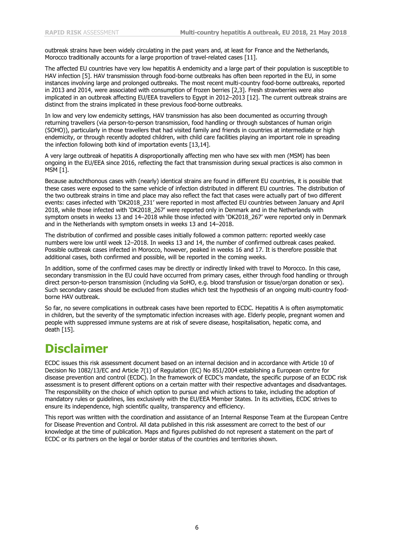outbreak strains have been widely circulating in the past years and, at least for France and the Netherlands, Morocco traditionally accounts for a large proportion of travel-related cases [11].

The affected EU countries have very low hepatitis A endemicity and a large part of their population is susceptible to HAV infection [5]. HAV transmission through food-borne outbreaks has often been reported in the EU, in some instances involving large and prolonged outbreaks. The most recent multi-country food-borne outbreaks, reported in 2013 and 2014, were associated with consumption of frozen berries [2,3]. Fresh strawberries were also implicated in an outbreak affecting EU/EEA travellers to Egypt in 2012–2013 [12]. The current outbreak strains are distinct from the strains implicated in these previous food-borne outbreaks.

In low and very low endemicity settings, HAV transmission has also been documented as occurring through returning travellers (via person-to-person transmission, food handling or through substances of human origin (SOHO)), particularly in those travellers that had visited family and friends in countries at intermediate or high endemicity, or through recently adopted children, with child care facilities playing an important role in spreading the infection following both kind of importation events [13,14].

A very large outbreak of hepatitis A disproportionally affecting men who have sex with men (MSM) has been ongoing in the EU/EEA since 2016, reflecting the fact that transmission during sexual practices is also common in MSM [1].

Because autochthonous cases with (nearly) identical strains are found in different EU countries, it is possible that these cases were exposed to the same vehicle of infection distributed in different EU countries. The distribution of the two outbreak strains in time and place may also reflect the fact that cases were actually part of two different events: cases infected with 'DK2018\_231' were reported in most affected EU countries between January and April 2018, while those infected with 'DK2018\_267' were reported only in Denmark and in the Netherlands with symptom onsets in weeks 13 and 14–2018 while those infected with 'DK2018\_267' were reported only in Denmark and in the Netherlands with symptom onsets in weeks 13 and 14–2018.

The distribution of confirmed and possible cases initially followed a common pattern: reported weekly case numbers were low until week 12–2018. In weeks 13 and 14, the number of confirmed outbreak cases peaked. Possible outbreak cases infected in Morocco, however, peaked in weeks 16 and 17. It is therefore possible that additional cases, both confirmed and possible, will be reported in the coming weeks.

In addition, some of the confirmed cases may be directly or indirectly linked with travel to Morocco. In this case, secondary transmission in the EU could have occurred from primary cases, either through food handling or through direct person-to-person transmission (including via SoHO, e.g. blood transfusion or tissue/organ donation or sex). Such secondary cases should be excluded from studies which test the hypothesis of an ongoing multi-country foodborne HAV outbreak.

So far, no severe complications in outbreak cases have been reported to ECDC. Hepatitis A is often asymptomatic in children, but the severity of the symptomatic infection increases with age. Elderly people, pregnant women and people with suppressed immune systems are at risk of severe disease, hospitalisation, hepatic coma, and death [15].

## **Disclaimer**

ECDC issues this risk assessment document based on an internal decision and in accordance with Article 10 of Decision No 1082/13/EC and Article 7(1) of Regulation (EC) No 851/2004 establishing a European centre for disease prevention and control (ECDC). In the framework of ECDC's mandate, the specific purpose of an ECDC risk assessment is to present different options on a certain matter with their respective advantages and disadvantages. The responsibility on the choice of which option to pursue and which actions to take, including the adoption of mandatory rules or guidelines, lies exclusively with the EU/EEA Member States. In its activities, ECDC strives to ensure its independence, high scientific quality, transparency and efficiency.

This report was written with the coordination and assistance of an Internal Response Team at the European Centre for Disease Prevention and Control. All data published in this risk assessment are correct to the best of our knowledge at the time of publication. Maps and figures published do not represent a statement on the part of ECDC or its partners on the legal or border status of the countries and territories shown.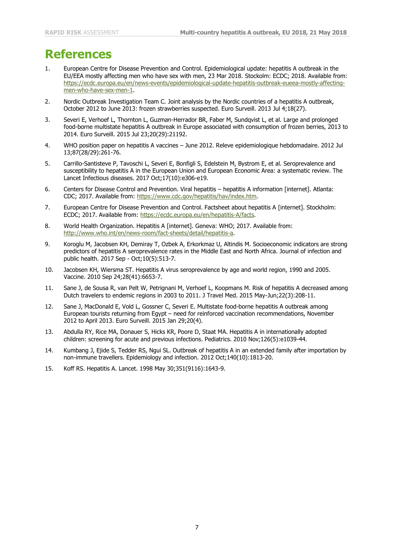## **References**

- European Centre for Disease Prevention and Control. Epidemiological update: hepatitis A outbreak in the EU/EEA mostly affecting men who have sex with men, 23 Mar 2018. Stockolm: ECDC; 2018. Available from: [https://ecdc.europa.eu/en/news-events/epidemiological-update-hepatitis-outbreak-eueea-mostly-affecting](https://ecdc.europa.eu/en/news-events/epidemiological-update-hepatitis-outbreak-eueea-mostly-affecting-men-who-have-sex-men-1)[men-who-have-sex-men-1.](https://ecdc.europa.eu/en/news-events/epidemiological-update-hepatitis-outbreak-eueea-mostly-affecting-men-who-have-sex-men-1)
- 2. Nordic Outbreak Investigation Team C. Joint analysis by the Nordic countries of a hepatitis A outbreak, October 2012 to June 2013: frozen strawberries suspected. Euro Surveill. 2013 Jul 4;18(27).
- 3. Severi E, Verhoef L, Thornton L, Guzman-Herrador BR, Faber M, Sundqvist L, et al. Large and prolonged food-borne multistate hepatitis A outbreak in Europe associated with consumption of frozen berries, 2013 to 2014. Euro Surveill. 2015 Jul 23;20(29):21192.
- 4. WHO position paper on hepatitis A vaccines June 2012. Releve epidemiologique hebdomadaire. 2012 Jul 13;87(28/29):261-76.
- 5. Carrillo-Santisteve P, Tavoschi L, Severi E, Bonfigli S, Edelstein M, Bystrom E, et al. Seroprevalence and susceptibility to hepatitis A in the European Union and European Economic Area: a systematic review. The Lancet Infectious diseases. 2017 Oct;17(10):e306-e19.
- 6. Centers for Disease Control and Prevention. Viral hepatitis hepatitis A information [internet]. Atlanta: CDC; 2017. Available from: [https://www.cdc.gov/hepatitis/hav/index.htm.](https://www.cdc.gov/hepatitis/hav/index.htm)
- 7. European Centre for Disease Prevention and Control. Factsheet about hepatitis A [internet]. Stockholm: ECDC; 2017. Available from: [https://ecdc.europa.eu/en/hepatitis-A/facts.](https://ecdc.europa.eu/en/hepatitis-A/facts)
- 8. World Health Organization. Hepatitis A [internet]. Geneva: WHO; 2017. Available from: [http://www.who.int/en/news-room/fact-sheets/detail/hepatitis-a.](http://www.who.int/en/news-room/fact-sheets/detail/hepatitis-a)
- 9. Koroglu M, Jacobsen KH, Demiray T, Ozbek A, Erkorkmaz U, Altindis M. Socioeconomic indicators are strong predictors of hepatitis A seroprevalence rates in the Middle East and North Africa. Journal of infection and public health. 2017 Sep - Oct;10(5):513-7.
- 10. Jacobsen KH, Wiersma ST. Hepatitis A virus seroprevalence by age and world region, 1990 and 2005. Vaccine. 2010 Sep 24;28(41):6653-7.
- 11. Sane J, de Sousa R, van Pelt W, Petrignani M, Verhoef L, Koopmans M. Risk of hepatitis A decreased among Dutch travelers to endemic regions in 2003 to 2011. J Travel Med. 2015 May-Jun;22(3):208-11.
- 12. Sane J, MacDonald E, Vold L, Gossner C, Severi E. Multistate food-borne hepatitis A outbreak among European tourists returning from Egypt – need for reinforced vaccination recommendations, November 2012 to April 2013. Euro Surveill. 2015 Jan 29;20(4).
- 13. Abdulla RY, Rice MA, Donauer S, Hicks KR, Poore D, Staat MA. Hepatitis A in internationally adopted children: screening for acute and previous infections. Pediatrics. 2010 Nov;126(5):e1039-44.
- 14. Kumbang J, Ejide S, Tedder RS, Ngui SL. Outbreak of hepatitis A in an extended family after importation by non-immune travellers. Epidemiology and infection. 2012 Oct;140(10):1813-20.
- 15. Koff RS. Hepatitis A. Lancet. 1998 May 30;351(9116):1643-9.